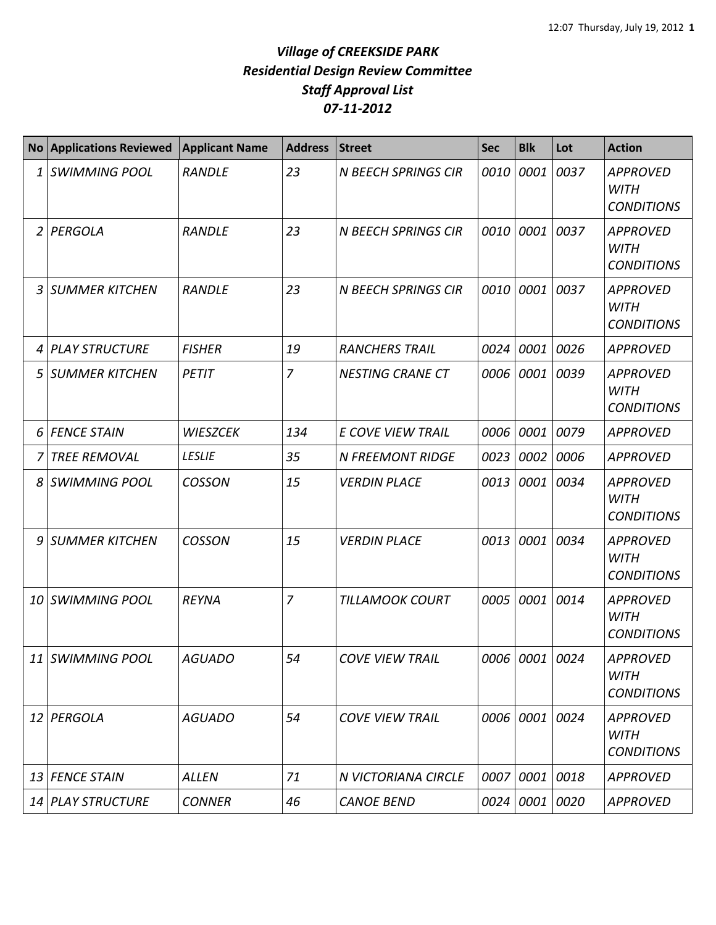|    | <b>No Applications Reviewed</b> | <b>Applicant Name</b> | <b>Address</b> | <b>Street</b>              | <b>Sec</b> | <b>Blk</b>     | Lot  | <b>Action</b>                                       |
|----|---------------------------------|-----------------------|----------------|----------------------------|------------|----------------|------|-----------------------------------------------------|
| 1  | <b>SWIMMING POOL</b>            | <b>RANDLE</b>         | 23             | <b>N BEECH SPRINGS CIR</b> | 0010       | 0001           | 0037 | <b>APPROVED</b><br><b>WITH</b><br><b>CONDITIONS</b> |
| 2  | PERGOLA                         | <b>RANDLE</b>         | 23             | <b>N BEECH SPRINGS CIR</b> | 0010       | 0001           | 0037 | <b>APPROVED</b><br><b>WITH</b><br><b>CONDITIONS</b> |
| 3  | <b>SUMMER KITCHEN</b>           | <b>RANDLE</b>         | 23             | <b>N BEECH SPRINGS CIR</b> | 0010       | 0001           | 0037 | <b>APPROVED</b><br><b>WITH</b><br><b>CONDITIONS</b> |
| 4  | <b>PLAY STRUCTURE</b>           | <b>FISHER</b>         | 19             | <b>RANCHERS TRAIL</b>      | 0024       | 0001           | 0026 | <b>APPROVED</b>                                     |
| 5  | <b>SUMMER KITCHEN</b>           | PETIT                 | $\overline{7}$ | <b>NESTING CRANE CT</b>    | 0006       | 0001           | 0039 | <b>APPROVED</b><br><b>WITH</b><br><b>CONDITIONS</b> |
| 6  | <b>FENCE STAIN</b>              | <b>WIESZCEK</b>       | 134            | <b>E COVE VIEW TRAIL</b>   | 0006       | 0001           | 0079 | <b>APPROVED</b>                                     |
|    | <b>TREE REMOVAL</b>             | <b>LESLIE</b>         | 35             | <b>N FREEMONT RIDGE</b>    | 0023       | 0002           | 0006 | <b>APPROVED</b>                                     |
| 8  | <b>SWIMMING POOL</b>            | <b>COSSON</b>         | 15             | <b>VERDIN PLACE</b>        | 0013       | 0001           | 0034 | <b>APPROVED</b><br><b>WITH</b><br><b>CONDITIONS</b> |
| 9  | <b>SUMMER KITCHEN</b>           | <b>COSSON</b>         | 15             | <b>VERDIN PLACE</b>        | 0013       | 0001           | 0034 | <b>APPROVED</b><br><b>WITH</b><br><b>CONDITIONS</b> |
| 10 | SWIMMING POOL                   | <b>REYNA</b>          | 7              | <b>TILLAMOOK COURT</b>     | 0005       | 0001           | 0014 | <b>APPROVED</b><br><b>WITH</b><br><b>CONDITIONS</b> |
|    | 11 SWIMMING POOL                | <b>AGUADO</b>         | 54             | <b>COVE VIEW TRAIL</b>     |            | 0006 0001 0024 |      | <b>APPROVED</b><br><b>WITH</b><br><b>CONDITIONS</b> |
|    | 12 PERGOLA                      | <b>AGUADO</b>         | 54             | <b>COVE VIEW TRAIL</b>     |            | 0006 0001      | 0024 | <b>APPROVED</b><br><b>WITH</b><br><b>CONDITIONS</b> |
|    | 13 FENCE STAIN                  | ALLEN                 | 71             | N VICTORIANA CIRCLE        | 0007       | 0001           | 0018 | <b>APPROVED</b>                                     |
|    | 14 PLAY STRUCTURE               | <b>CONNER</b>         | 46             | <b>CANOE BEND</b>          |            | 0024 0001      | 0020 | <b>APPROVED</b>                                     |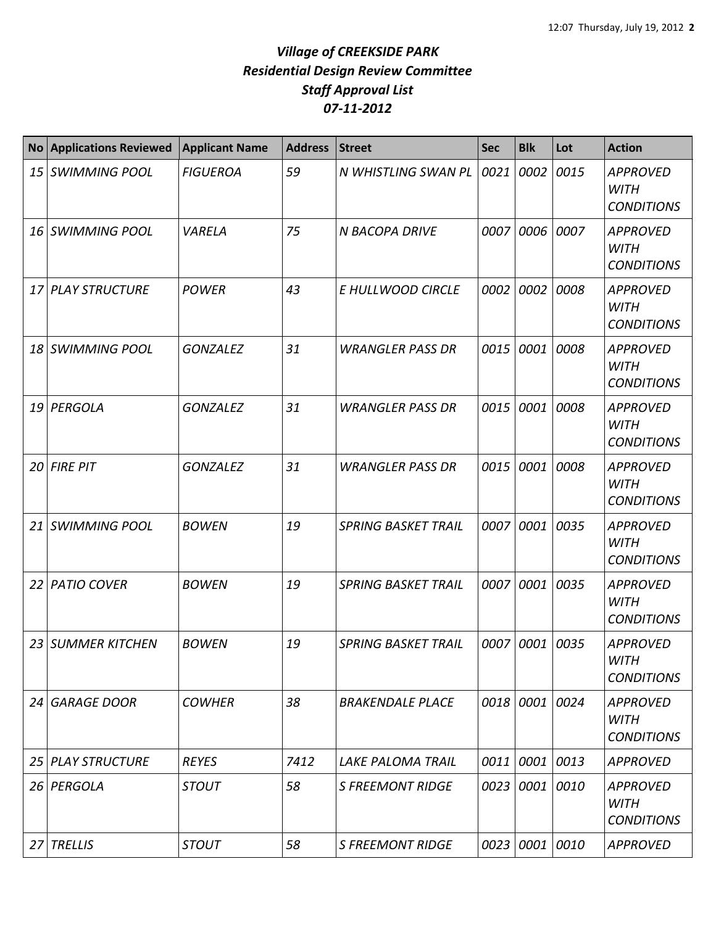| <b>No</b> | <b>Applications Reviewed</b> | <b>Applicant Name</b> | <b>Address</b> | <b>Street</b>              | <b>Sec</b> | <b>Blk</b>     | Lot  | <b>Action</b>                                       |
|-----------|------------------------------|-----------------------|----------------|----------------------------|------------|----------------|------|-----------------------------------------------------|
| 15        | <b>SWIMMING POOL</b>         | <b>FIGUEROA</b>       | 59             | N WHISTLING SWAN PL        | 0021       | 0002           | 0015 | <b>APPROVED</b><br><b>WITH</b><br><b>CONDITIONS</b> |
| 16 I      | <b>SWIMMING POOL</b>         | VARELA                | 75             | <b>N BACOPA DRIVE</b>      | 0007       | 0006           | 0007 | <b>APPROVED</b><br><b>WITH</b><br><b>CONDITIONS</b> |
| 17        | <b>PLAY STRUCTURE</b>        | <b>POWER</b>          | 43             | E HULLWOOD CIRCLE          | 0002       | 0002           | 0008 | <b>APPROVED</b><br><b>WITH</b><br><b>CONDITIONS</b> |
| 18        | <b>SWIMMING POOL</b>         | <b>GONZALEZ</b>       | 31             | <b>WRANGLER PASS DR</b>    | 0015       | 0001           | 0008 | <b>APPROVED</b><br><b>WITH</b><br><b>CONDITIONS</b> |
| 19        | PERGOLA                      | <b>GONZALEZ</b>       | 31             | <b>WRANGLER PASS DR</b>    | 0015       | 0001           | 0008 | <b>APPROVED</b><br><b>WITH</b><br><b>CONDITIONS</b> |
| 20        | <b>FIRE PIT</b>              | <b>GONZALEZ</b>       | 31             | <b>WRANGLER PASS DR</b>    | 0015       | 0001           | 0008 | <b>APPROVED</b><br><b>WITH</b><br><b>CONDITIONS</b> |
| 21        | <b>SWIMMING POOL</b>         | <b>BOWEN</b>          | 19             | <b>SPRING BASKET TRAIL</b> | 0007       | 0001           | 0035 | <b>APPROVED</b><br><b>WITH</b><br><b>CONDITIONS</b> |
| 22        | <b>PATIO COVER</b>           | <b>BOWEN</b>          | 19             | <b>SPRING BASKET TRAIL</b> | 0007       | 0001           | 0035 | <b>APPROVED</b><br><b>WITH</b><br><b>CONDITIONS</b> |
| 23        | <b>SUMMER KITCHEN</b>        | <b>BOWEN</b>          | 19             | <b>SPRING BASKET TRAIL</b> | 0007       | 0001           | 0035 | <b>APPROVED</b><br><b>WITH</b><br><b>CONDITIONS</b> |
| 24        | <b>GARAGE DOOR</b>           | <b>COWHER</b>         | 38             | <b>BRAKENDALE PLACE</b>    |            | 0018 0001 0024 |      | <b>APPROVED</b><br><b>WITH</b><br><b>CONDITIONS</b> |
| 25        | <b>PLAY STRUCTURE</b>        | <b>REYES</b>          | 7412           | <b>LAKE PALOMA TRAIL</b>   | 0011       | 0001 0013      |      | APPROVED                                            |
| 26        | PERGOLA                      | <b>STOUT</b>          | 58             | <b>S FREEMONT RIDGE</b>    | 0023       | 0001 0010      |      | <b>APPROVED</b><br>WITH<br><b>CONDITIONS</b>        |
| 27        | <b>TRELLIS</b>               | <b>STOUT</b>          | 58             | <b>S FREEMONT RIDGE</b>    | 0023       | 0001 0010      |      | <b>APPROVED</b>                                     |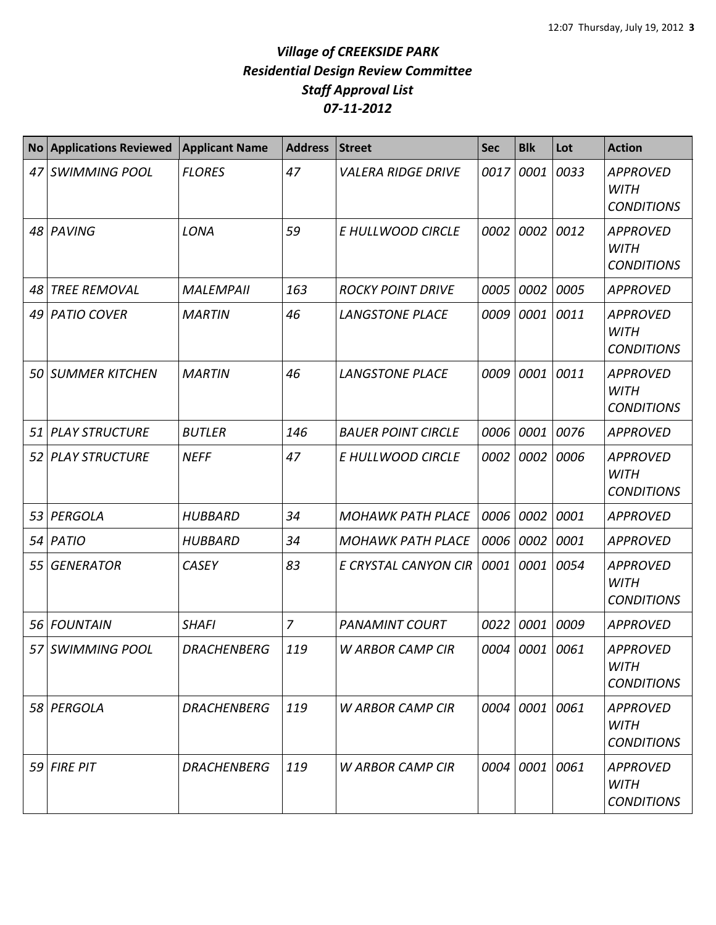| <b>No</b> | <b>Applications Reviewed</b> | <b>Applicant Name</b> | <b>Address</b> | <b>Street</b>             | <b>Sec</b> | <b>Blk</b>     | Lot  | <b>Action</b>                                       |
|-----------|------------------------------|-----------------------|----------------|---------------------------|------------|----------------|------|-----------------------------------------------------|
| 47        | <b>SWIMMING POOL</b>         | <b>FLORES</b>         | 47             | <b>VALERA RIDGE DRIVE</b> | 0017       | 0001           | 0033 | <b>APPROVED</b><br><b>WITH</b><br><b>CONDITIONS</b> |
| 48        | PAVING                       | LONA                  | 59             | E HULLWOOD CIRCLE         | 0002       | 0002           | 0012 | <b>APPROVED</b><br><b>WITH</b><br><b>CONDITIONS</b> |
| 48        | <b>TREE REMOVAL</b>          | <b>MALEMPAII</b>      | 163            | <b>ROCKY POINT DRIVE</b>  | 0005       | 0002           | 0005 | <b>APPROVED</b>                                     |
| 49        | <b>PATIO COVER</b>           | <b>MARTIN</b>         | 46             | <b>LANGSTONE PLACE</b>    | 0009       | 0001           | 0011 | <b>APPROVED</b><br><b>WITH</b><br><b>CONDITIONS</b> |
| 50        | <b>SUMMER KITCHEN</b>        | <b>MARTIN</b>         | 46             | <b>LANGSTONE PLACE</b>    | 0009       | 0001           | 0011 | <b>APPROVED</b><br><b>WITH</b><br><b>CONDITIONS</b> |
| 51        | <b>PLAY STRUCTURE</b>        | <b>BUTLER</b>         | 146            | <b>BAUER POINT CIRCLE</b> | 0006       | 0001           | 0076 | <b>APPROVED</b>                                     |
| 52        | <b>PLAY STRUCTURE</b>        | <b>NEFF</b>           | 47             | E HULLWOOD CIRCLE         | 0002       | 0002           | 0006 | <b>APPROVED</b><br><b>WITH</b><br><b>CONDITIONS</b> |
| 53        | PERGOLA                      | <b>HUBBARD</b>        | 34             | <b>MOHAWK PATH PLACE</b>  | 0006       | 0002           | 0001 | <b>APPROVED</b>                                     |
| 54        | PATIO                        | <b>HUBBARD</b>        | 34             | <b>MOHAWK PATH PLACE</b>  | 0006       | 0002           | 0001 | <b>APPROVED</b>                                     |
| 55        | <b>GENERATOR</b>             | <b>CASEY</b>          | 83             | E CRYSTAL CANYON CIR      | 0001       | 0001           | 0054 | <b>APPROVED</b><br><b>WITH</b><br><b>CONDITIONS</b> |
| 56        | <b>FOUNTAIN</b>              | <b>SHAFI</b>          | $\overline{7}$ | <b>PANAMINT COURT</b>     | 0022       | 0001           | 0009 | <b>APPROVED</b>                                     |
| 57        | <b>SWIMMING POOL</b>         | <b>DRACHENBERG</b>    | 119            | <b>W ARBOR CAMP CIR</b>   | 0004       | 0001 0061      |      | <b>APPROVED</b><br>WITH<br><b>CONDITIONS</b>        |
|           | 58 PERGOLA                   | <b>DRACHENBERG</b>    | 119            | <b>W ARBOR CAMP CIR</b>   |            | 0004 0001 0061 |      | <b>APPROVED</b><br><b>WITH</b><br><b>CONDITIONS</b> |
| 59        | <b>FIRE PIT</b>              | <b>DRACHENBERG</b>    | 119            | <b>W ARBOR CAMP CIR</b>   | 0004       | 0001 0061      |      | <b>APPROVED</b><br><b>WITH</b><br><b>CONDITIONS</b> |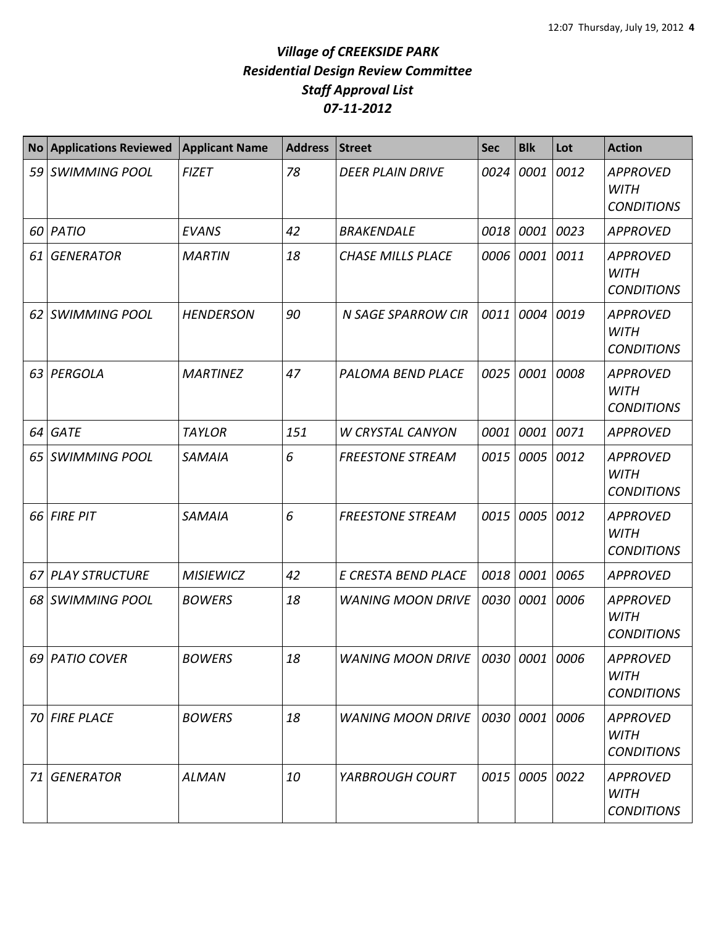| <b>No</b> | <b>Applications Reviewed</b> | <b>Applicant Name</b> | <b>Address</b> | <b>Street</b>                   | <b>Sec</b> | <b>Blk</b> | Lot  | <b>Action</b>                                       |
|-----------|------------------------------|-----------------------|----------------|---------------------------------|------------|------------|------|-----------------------------------------------------|
| 59        | <b>SWIMMING POOL</b>         | <b>FIZET</b>          | 78             | <b>DEER PLAIN DRIVE</b>         | 0024       | 0001       | 0012 | <b>APPROVED</b><br><b>WITH</b><br><b>CONDITIONS</b> |
| 60        | PATIO                        | <b>EVANS</b>          | 42             | <b>BRAKENDALE</b>               | 0018       | 0001       | 0023 | <b>APPROVED</b>                                     |
| 61        | <b>GENERATOR</b>             | <b>MARTIN</b>         | 18             | <b>CHASE MILLS PLACE</b>        |            | 0006 0001  | 0011 | <b>APPROVED</b><br><b>WITH</b><br><b>CONDITIONS</b> |
| 62        | <b>SWIMMING POOL</b>         | <b>HENDERSON</b>      | 90             | <b>N SAGE SPARROW CIR</b>       | 0011       | 0004       | 0019 | <b>APPROVED</b><br><b>WITH</b><br><b>CONDITIONS</b> |
| 63        | PERGOLA                      | <b>MARTINEZ</b>       | 47             | PALOMA BEND PLACE               | 0025       | 0001       | 0008 | <b>APPROVED</b><br><b>WITH</b><br><b>CONDITIONS</b> |
| 64        | <b>GATE</b>                  | <b>TAYLOR</b>         | 151            | <b>W CRYSTAL CANYON</b>         | 0001       | 0001       | 0071 | <b>APPROVED</b>                                     |
| 65        | <b>SWIMMING POOL</b>         | <b>SAMAIA</b>         | 6              | <b>FREESTONE STREAM</b>         | 0015       | 0005       | 0012 | <b>APPROVED</b><br><b>WITH</b><br><b>CONDITIONS</b> |
| 66        | <b>FIRE PIT</b>              | <b>SAMAIA</b>         | 6              | <b>FREESTONE STREAM</b>         | 0015       | 0005       | 0012 | <b>APPROVED</b><br><b>WITH</b><br><b>CONDITIONS</b> |
| 67        | <b>PLAY STRUCTURE</b>        | <b>MISIEWICZ</b>      | 42             | E CRESTA BEND PLACE             |            | 0018 0001  | 0065 | <b>APPROVED</b>                                     |
| 68        | <b>SWIMMING POOL</b>         | <b>BOWERS</b>         | 18             | <b>WANING MOON DRIVE</b>        | 0030       | 0001       | 0006 | <b>APPROVED</b><br><b>WITH</b><br><b>CONDITIONS</b> |
|           | 69 PATIO COVER               | <b>BOWERS</b>         | 18             | WANING MOON DRIVE   0030   0001 |            |            | 0006 | <b>APPROVED</b><br><b>WITH</b><br><b>CONDITIONS</b> |
|           | 70 FIRE PLACE                | <b>BOWERS</b>         | 18             | <b>WANING MOON DRIVE</b>        |            | 0030 0001  | 0006 | <b>APPROVED</b><br><b>WITH</b><br><b>CONDITIONS</b> |
| 71        | <b>GENERATOR</b>             | <b>ALMAN</b>          | 10             | YARBROUGH COURT                 |            | 0015 0005  | 0022 | <b>APPROVED</b><br><b>WITH</b><br><b>CONDITIONS</b> |